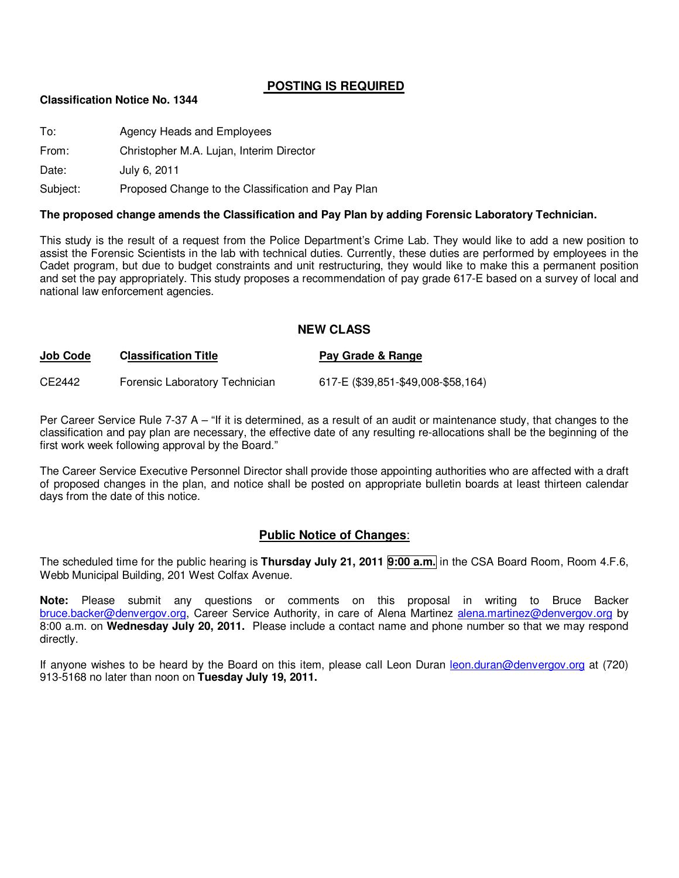### **POSTING IS REQUIRED**

#### **Classification Notice No. 1344**

To: Agency Heads and Employees From: Christopher M.A. Lujan, Interim Director Date: July 6, 2011 Subject: Proposed Change to the Classification and Pay Plan

#### **The proposed change amends the Classification and Pay Plan by adding Forensic Laboratory Technician.**

This study is the result of a request from the Police Department's Crime Lab. They would like to add a new position to assist the Forensic Scientists in the lab with technical duties. Currently, these duties are performed by employees in the Cadet program, but due to budget constraints and unit restructuring, they would like to make this a permanent position and set the pay appropriately. This study proposes a recommendation of pay grade 617-E based on a survey of local and national law enforcement agencies.

#### **NEW CLASS**

| <b>Job Code</b> | <b>Classification Title</b>    | Pay Grade & Range                  |
|-----------------|--------------------------------|------------------------------------|
| CE2442          | Forensic Laboratory Technician | 617-E (\$39,851-\$49,008-\$58,164) |

Per Career Service Rule 7-37 A – "If it is determined, as a result of an audit or maintenance study, that changes to the classification and pay plan are necessary, the effective date of any resulting re-allocations shall be the beginning of the first work week following approval by the Board."

The Career Service Executive Personnel Director shall provide those appointing authorities who are affected with a draft of proposed changes in the plan, and notice shall be posted on appropriate bulletin boards at least thirteen calendar days from the date of this notice.

### **Public Notice of Changes**:

The scheduled time for the public hearing is **Thursday July 21, 2011 9:00 a.m.** in the CSA Board Room, Room 4.F.6, Webb Municipal Building, 201 West Colfax Avenue.

**Note:** Please submit any questions or comments on this proposal in writing to Bruce Backer bruce.backer@denvergov.org, Career Service Authority, in care of Alena Martinez alena.martinez@denvergov.org by 8:00 a.m. on **Wednesday July 20, 2011.** Please include a contact name and phone number so that we may respond directly.

If anyone wishes to be heard by the Board on this item, please call Leon Duran leon.duran@denvergov.org at (720) 913-5168 no later than noon on **Tuesday July 19, 2011.**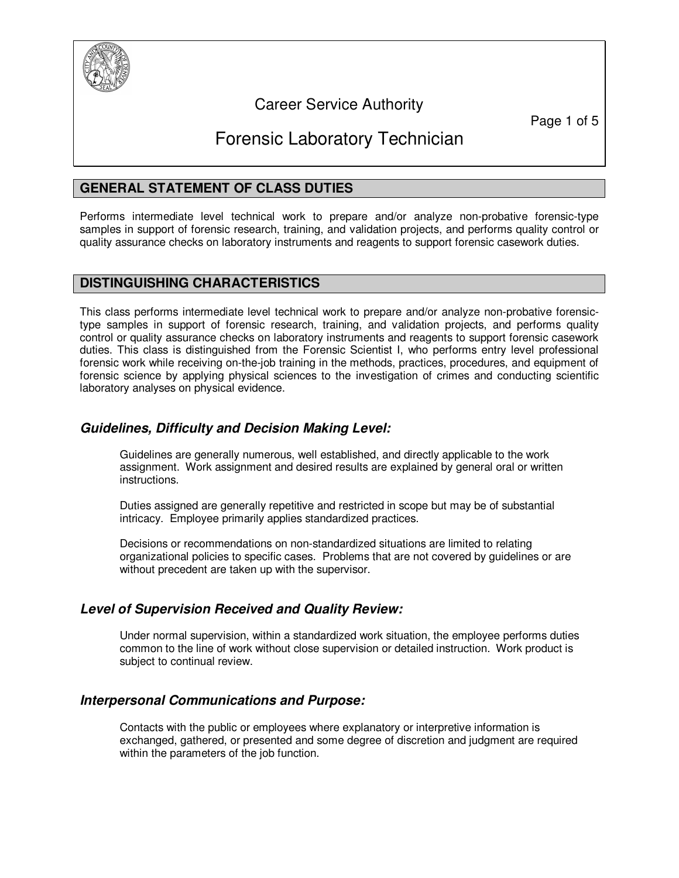

## Career Service Authority

Page 1 of 5

# Forensic Laboratory Technician

## **GENERAL STATEMENT OF CLASS DUTIES**

Performs intermediate level technical work to prepare and/or analyze non-probative forensic-type samples in support of forensic research, training, and validation projects, and performs quality control or quality assurance checks on laboratory instruments and reagents to support forensic casework duties.

#### **DISTINGUISHING CHARACTERISTICS**

This class performs intermediate level technical work to prepare and/or analyze non-probative forensictype samples in support of forensic research, training, and validation projects, and performs quality control or quality assurance checks on laboratory instruments and reagents to support forensic casework duties. This class is distinguished from the Forensic Scientist I, who performs entry level professional forensic work while receiving on-the-job training in the methods, practices, procedures, and equipment of forensic science by applying physical sciences to the investigation of crimes and conducting scientific laboratory analyses on physical evidence.

## **Guidelines, Difficulty and Decision Making Level:**

Guidelines are generally numerous, well established, and directly applicable to the work assignment. Work assignment and desired results are explained by general oral or written instructions.

Duties assigned are generally repetitive and restricted in scope but may be of substantial intricacy. Employee primarily applies standardized practices.

Decisions or recommendations on non-standardized situations are limited to relating organizational policies to specific cases. Problems that are not covered by guidelines or are without precedent are taken up with the supervisor.

### **Level of Supervision Received and Quality Review:**

Under normal supervision, within a standardized work situation, the employee performs duties common to the line of work without close supervision or detailed instruction. Work product is subject to continual review.

### **Interpersonal Communications and Purpose:**

Contacts with the public or employees where explanatory or interpretive information is exchanged, gathered, or presented and some degree of discretion and judgment are required within the parameters of the job function.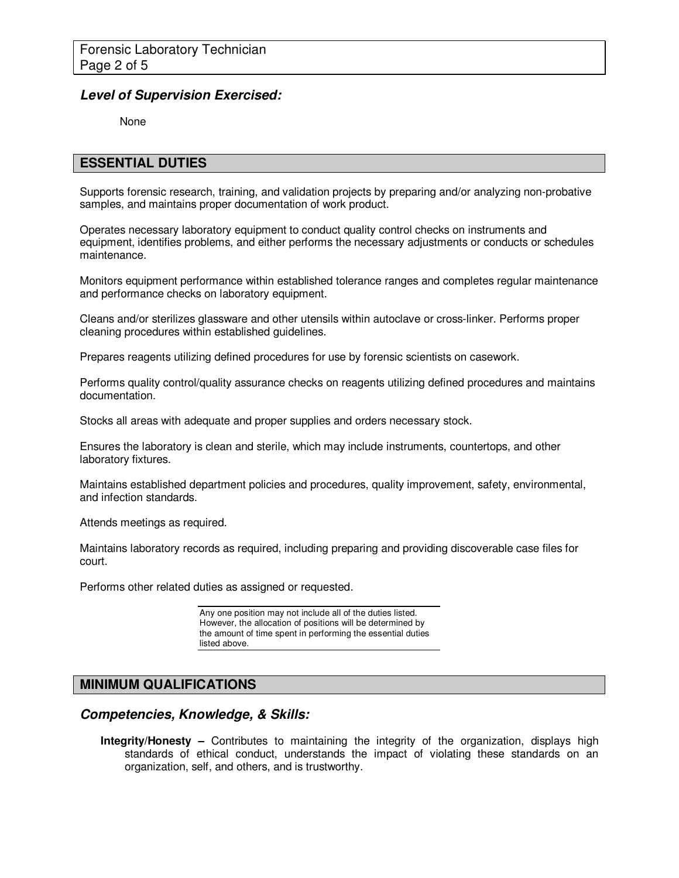#### **Level of Supervision Exercised:**

None

#### **ESSENTIAL DUTIES**

Supports forensic research, training, and validation projects by preparing and/or analyzing non-probative samples, and maintains proper documentation of work product.

Operates necessary laboratory equipment to conduct quality control checks on instruments and equipment, identifies problems, and either performs the necessary adjustments or conducts or schedules maintenance.

Monitors equipment performance within established tolerance ranges and completes regular maintenance and performance checks on laboratory equipment.

Cleans and/or sterilizes glassware and other utensils within autoclave or cross-linker. Performs proper cleaning procedures within established guidelines.

Prepares reagents utilizing defined procedures for use by forensic scientists on casework.

Performs quality control/quality assurance checks on reagents utilizing defined procedures and maintains documentation.

Stocks all areas with adequate and proper supplies and orders necessary stock.

Ensures the laboratory is clean and sterile, which may include instruments, countertops, and other laboratory fixtures.

Maintains established department policies and procedures, quality improvement, safety, environmental, and infection standards.

Attends meetings as required.

Maintains laboratory records as required, including preparing and providing discoverable case files for court.

Performs other related duties as assigned or requested.

Any one position may not include all of the duties listed. However, the allocation of positions will be determined by the amount of time spent in performing the essential duties listed above.

### **MINIMUM QUALIFICATIONS**

#### **Competencies, Knowledge, & Skills:**

**Integrity/Honesty –** Contributes to maintaining the integrity of the organization, displays high standards of ethical conduct, understands the impact of violating these standards on an organization, self, and others, and is trustworthy.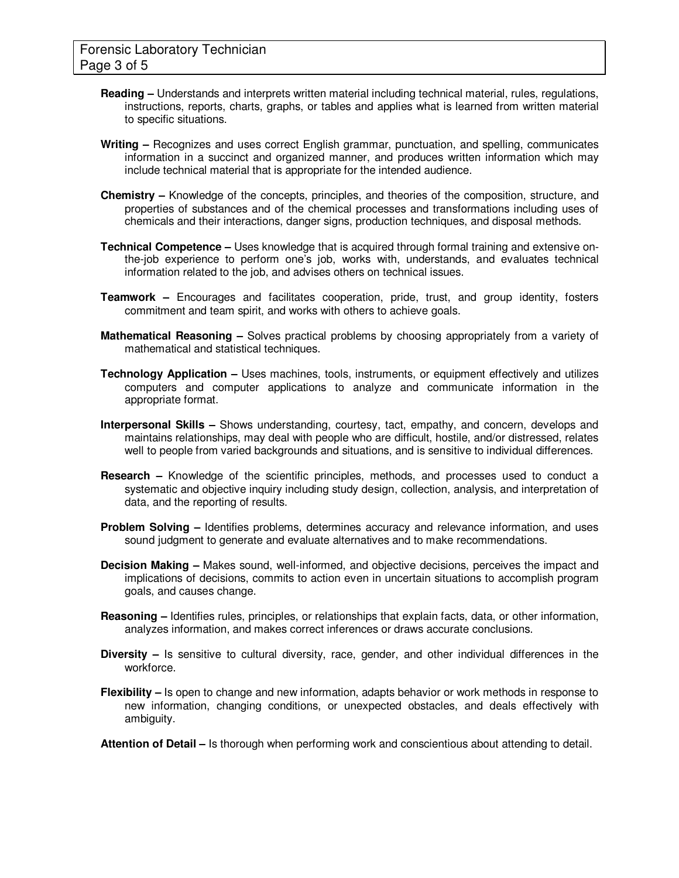- **Reading** Understands and interprets written material including technical material, rules, regulations, instructions, reports, charts, graphs, or tables and applies what is learned from written material to specific situations.
- **Writing** Recognizes and uses correct English grammar, punctuation, and spelling, communicates information in a succinct and organized manner, and produces written information which may include technical material that is appropriate for the intended audience.
- **Chemistry** Knowledge of the concepts, principles, and theories of the composition, structure, and properties of substances and of the chemical processes and transformations including uses of chemicals and their interactions, danger signs, production techniques, and disposal methods.
- **Technical Competence** Uses knowledge that is acquired through formal training and extensive onthe-job experience to perform one's job, works with, understands, and evaluates technical information related to the job, and advises others on technical issues.
- **Teamwork** Encourages and facilitates cooperation, pride, trust, and group identity, fosters commitment and team spirit, and works with others to achieve goals.
- **Mathematical Reasoning** Solves practical problems by choosing appropriately from a variety of mathematical and statistical techniques.
- **Technology Application** Uses machines, tools, instruments, or equipment effectively and utilizes computers and computer applications to analyze and communicate information in the appropriate format.
- **Interpersonal Skills** Shows understanding, courtesy, tact, empathy, and concern, develops and maintains relationships, may deal with people who are difficult, hostile, and/or distressed, relates well to people from varied backgrounds and situations, and is sensitive to individual differences.
- **Research** Knowledge of the scientific principles, methods, and processes used to conduct a systematic and objective inquiry including study design, collection, analysis, and interpretation of data, and the reporting of results.
- **Problem Solving** Identifies problems, determines accuracy and relevance information, and uses sound judgment to generate and evaluate alternatives and to make recommendations.
- **Decision Making** Makes sound, well-informed, and objective decisions, perceives the impact and implications of decisions, commits to action even in uncertain situations to accomplish program goals, and causes change.
- **Reasoning** Identifies rules, principles, or relationships that explain facts, data, or other information, analyzes information, and makes correct inferences or draws accurate conclusions.
- **Diversity** Is sensitive to cultural diversity, race, gender, and other individual differences in the workforce.
- **Flexibility** Is open to change and new information, adapts behavior or work methods in response to new information, changing conditions, or unexpected obstacles, and deals effectively with ambiguity.
- **Attention of Detail** Is thorough when performing work and conscientious about attending to detail.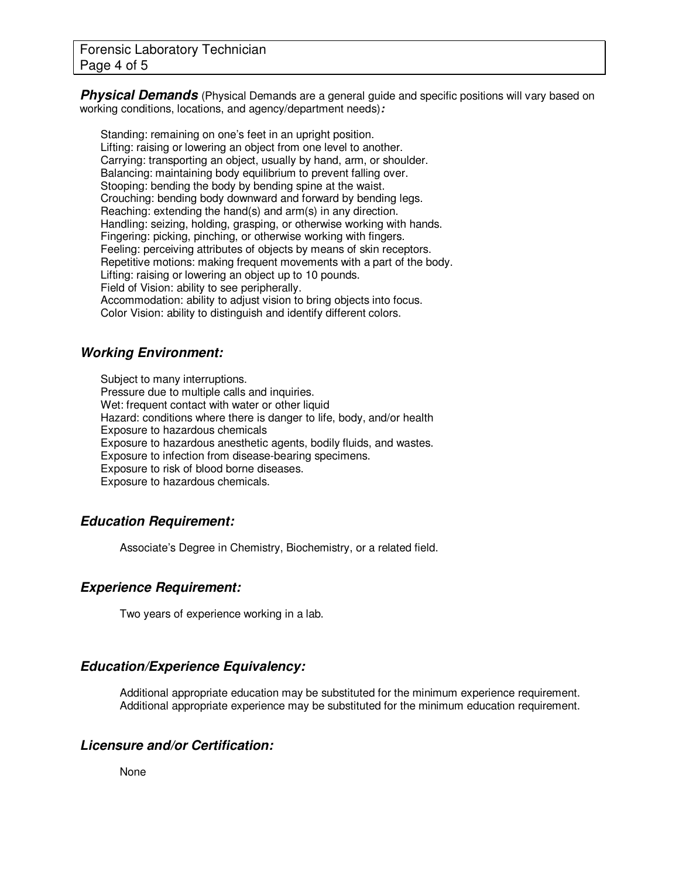**Physical Demands** (Physical Demands are a general quide and specific positions will vary based on working conditions, locations, and agency/department needs)**:** 

Standing: remaining on one's feet in an upright position. Lifting: raising or lowering an object from one level to another. Carrying: transporting an object, usually by hand, arm, or shoulder. Balancing: maintaining body equilibrium to prevent falling over. Stooping: bending the body by bending spine at the waist. Crouching: bending body downward and forward by bending legs. Reaching: extending the hand(s) and arm(s) in any direction. Handling: seizing, holding, grasping, or otherwise working with hands. Fingering: picking, pinching, or otherwise working with fingers. Feeling: perceiving attributes of objects by means of skin receptors. Repetitive motions: making frequent movements with a part of the body. Lifting: raising or lowering an object up to 10 pounds. Field of Vision: ability to see peripherally. Accommodation: ability to adjust vision to bring objects into focus. Color Vision: ability to distinguish and identify different colors.

## **Working Environment:**

Subject to many interruptions. Pressure due to multiple calls and inquiries. Wet: frequent contact with water or other liquid Hazard: conditions where there is danger to life, body, and/or health Exposure to hazardous chemicals Exposure to hazardous anesthetic agents, bodily fluids, and wastes. Exposure to infection from disease-bearing specimens. Exposure to risk of blood borne diseases. Exposure to hazardous chemicals.

## **Education Requirement:**

Associate's Degree in Chemistry, Biochemistry, or a related field.

### **Experience Requirement:**

Two years of experience working in a lab.

## **Education/Experience Equivalency:**

Additional appropriate education may be substituted for the minimum experience requirement. Additional appropriate experience may be substituted for the minimum education requirement.

## **Licensure and/or Certification:**

None